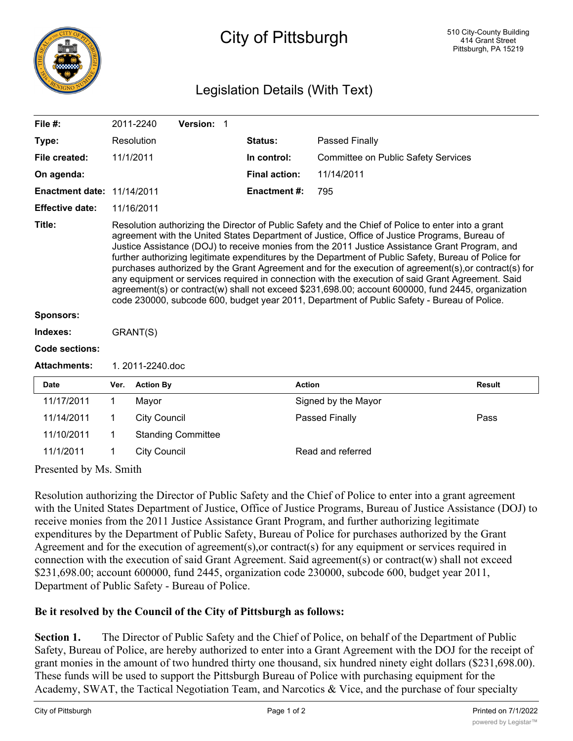

## City of Pittsburgh

## Legislation Details (With Text)

| File $#$ :                        |                                                                                                                                                                                                                                                                                                                                                                                                                                                                                                                                                                                                                                                                                                                                                                                                                                  | 2011-2240                                | Version: 1                |                      |               |                                     |               |
|-----------------------------------|----------------------------------------------------------------------------------------------------------------------------------------------------------------------------------------------------------------------------------------------------------------------------------------------------------------------------------------------------------------------------------------------------------------------------------------------------------------------------------------------------------------------------------------------------------------------------------------------------------------------------------------------------------------------------------------------------------------------------------------------------------------------------------------------------------------------------------|------------------------------------------|---------------------------|----------------------|---------------|-------------------------------------|---------------|
| Type:                             |                                                                                                                                                                                                                                                                                                                                                                                                                                                                                                                                                                                                                                                                                                                                                                                                                                  | Resolution                               |                           | <b>Status:</b>       |               | Passed Finally                      |               |
| File created:                     | 11/1/2011                                                                                                                                                                                                                                                                                                                                                                                                                                                                                                                                                                                                                                                                                                                                                                                                                        |                                          |                           | In control:          |               | Committee on Public Safety Services |               |
| On agenda:                        |                                                                                                                                                                                                                                                                                                                                                                                                                                                                                                                                                                                                                                                                                                                                                                                                                                  |                                          |                           | <b>Final action:</b> |               | 11/14/2011                          |               |
| <b>Enactment date: 11/14/2011</b> |                                                                                                                                                                                                                                                                                                                                                                                                                                                                                                                                                                                                                                                                                                                                                                                                                                  |                                          |                           | <b>Enactment #:</b>  |               | 795                                 |               |
| <b>Effective date:</b>            | 11/16/2011                                                                                                                                                                                                                                                                                                                                                                                                                                                                                                                                                                                                                                                                                                                                                                                                                       |                                          |                           |                      |               |                                     |               |
| Title:                            | Resolution authorizing the Director of Public Safety and the Chief of Police to enter into a grant<br>agreement with the United States Department of Justice, Office of Justice Programs, Bureau of<br>Justice Assistance (DOJ) to receive monies from the 2011 Justice Assistance Grant Program, and<br>further authorizing legitimate expenditures by the Department of Public Safety, Bureau of Police for<br>purchases authorized by the Grant Agreement and for the execution of agreement(s), or contract(s) for<br>any equipment or services required in connection with the execution of said Grant Agreement. Said<br>agreement(s) or contract(w) shall not exceed \$231,698.00; account 600000, fund 2445, organization<br>code 230000, subcode 600, budget year 2011, Department of Public Safety - Bureau of Police. |                                          |                           |                      |               |                                     |               |
| <b>Sponsors:</b>                  |                                                                                                                                                                                                                                                                                                                                                                                                                                                                                                                                                                                                                                                                                                                                                                                                                                  |                                          |                           |                      |               |                                     |               |
| Indexes:                          | GRANT(S)                                                                                                                                                                                                                                                                                                                                                                                                                                                                                                                                                                                                                                                                                                                                                                                                                         |                                          |                           |                      |               |                                     |               |
| Code sections:                    |                                                                                                                                                                                                                                                                                                                                                                                                                                                                                                                                                                                                                                                                                                                                                                                                                                  |                                          |                           |                      |               |                                     |               |
| <b>Attachments:</b>               | 1. 2011-2240.doc                                                                                                                                                                                                                                                                                                                                                                                                                                                                                                                                                                                                                                                                                                                                                                                                                 |                                          |                           |                      |               |                                     |               |
| <b>Date</b>                       | Ver.                                                                                                                                                                                                                                                                                                                                                                                                                                                                                                                                                                                                                                                                                                                                                                                                                             | <b>Action By</b>                         |                           |                      | <b>Action</b> |                                     | <b>Result</b> |
| 11/17/2011                        | $\mathbf 1$                                                                                                                                                                                                                                                                                                                                                                                                                                                                                                                                                                                                                                                                                                                                                                                                                      | Mayor                                    |                           |                      |               | Signed by the Mayor                 |               |
| 11/14/2011                        | 1                                                                                                                                                                                                                                                                                                                                                                                                                                                                                                                                                                                                                                                                                                                                                                                                                                | <b>City Council</b>                      |                           |                      |               | Passed Finally                      | Pass          |
| 11/10/2011                        | 1                                                                                                                                                                                                                                                                                                                                                                                                                                                                                                                                                                                                                                                                                                                                                                                                                                |                                          | <b>Standing Committee</b> |                      |               |                                     |               |
| 11/1/2011                         | 1                                                                                                                                                                                                                                                                                                                                                                                                                                                                                                                                                                                                                                                                                                                                                                                                                                | Read and referred<br><b>City Council</b> |                           |                      |               |                                     |               |

Presented by Ms. Smith

Resolution authorizing the Director of Public Safety and the Chief of Police to enter into a grant agreement with the United States Department of Justice, Office of Justice Programs, Bureau of Justice Assistance (DOJ) to receive monies from the 2011 Justice Assistance Grant Program, and further authorizing legitimate expenditures by the Department of Public Safety, Bureau of Police for purchases authorized by the Grant Agreement and for the execution of agreement(s),or contract(s) for any equipment or services required in connection with the execution of said Grant Agreement. Said agreement(s) or contract(w) shall not exceed \$231,698.00; account 600000, fund 2445, organization code 230000, subcode 600, budget year 2011, Department of Public Safety - Bureau of Police.

## **Be it resolved by the Council of the City of Pittsburgh as follows:**

**Section 1.** The Director of Public Safety and the Chief of Police, on behalf of the Department of Public Safety, Bureau of Police, are hereby authorized to enter into a Grant Agreement with the DOJ for the receipt of grant monies in the amount of two hundred thirty one thousand, six hundred ninety eight dollars (\$231,698.00). These funds will be used to support the Pittsburgh Bureau of Police with purchasing equipment for the Academy, SWAT, the Tactical Negotiation Team, and Narcotics & Vice, and the purchase of four specialty